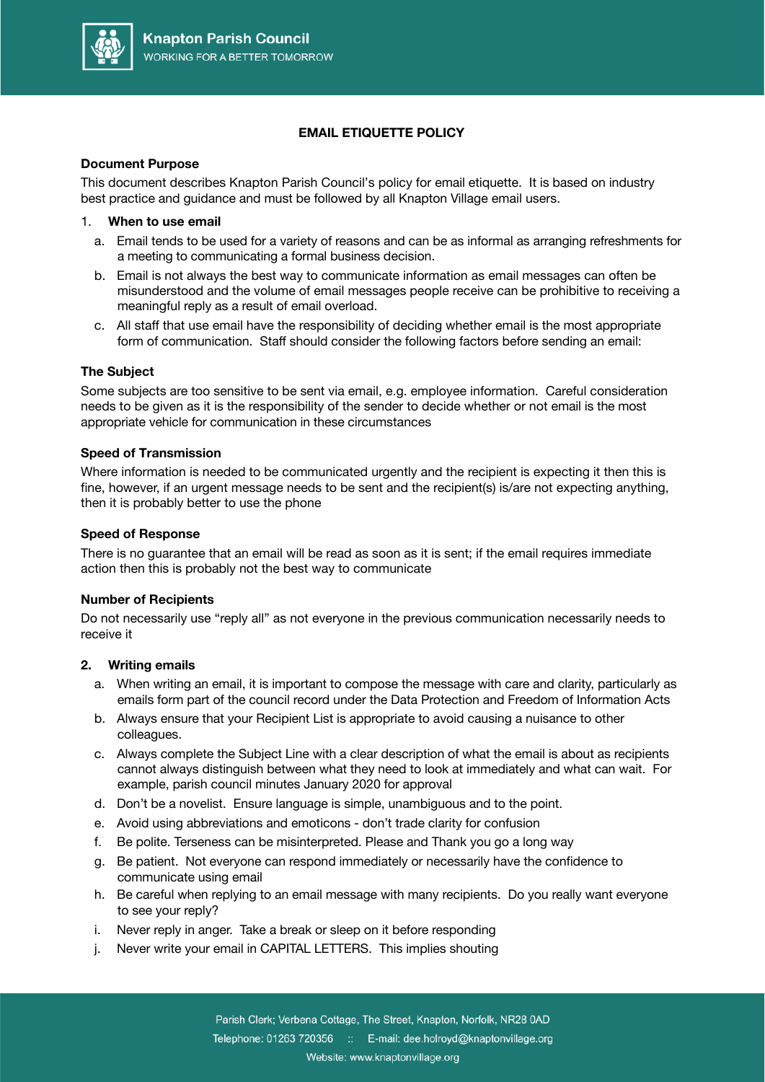

# **EMAIL ETIQUETTE POLICY**

## **Document Purpose**

This document describes Knapton Parish Council's policy for email etiquette. It is based on industry best practice and guidance and must be followed by all Knapton Village email users.

## 1. **When to use email**

- a. Email tends to be used for a variety of reasons and can be as informal as arranging refreshments for a meeting to communicating a formal business decision.
- b. Email is not always the best way to communicate information as email messages can often be misunderstood and the volume of email messages people receive can be prohibitive to receiving a meaningful reply as a result of email overload.
- c. All staff that use email have the responsibility of deciding whether email is the most appropriate form of communication. Staff should consider the following factors before sending an email:

## **The Subject**

Some subjects are too sensitive to be sent via email, e.g. employee information. Careful consideration needs to be given as it is the responsibility of the sender to decide whether or not email is the most appropriate vehicle for communication in these circumstances

#### **Speed of Transmission**

Where information is needed to be communicated urgently and the recipient is expecting it then this is fine, however, if an urgent message needs to be sent and the recipient(s) is/are not expecting anything, then it is probably better to use the phone

## **Speed of Response**

There is no guarantee that an email will be read as soon as it is sent; if the email requires immediate action then this is probably not the best way to communicate

#### **Number of Recipients**

Do not necessarily use "reply all" as not everyone in the previous communication necessarily needs to receive it

## **2. Writing emails**

- a. When writing an email, it is important to compose the message with care and clarity, particularly as emails form part of the council record under the Data Protection and Freedom of Information Acts
- b. Always ensure that your Recipient List is appropriate to avoid causing a nuisance to other colleagues.
- c. Always complete the Subject Line with a clear description of what the email is about as recipients cannot always distinguish between what they need to look at immediately and what can wait. For example, parish council minutes January 2020 for approval
- d. Don't be a novelist. Ensure language is simple, unambiguous and to the point.
- e. Avoid using abbreviations and emoticons don't trade clarity for confusion
- f. Be polite. Terseness can be misinterpreted. Please and Thank you go a long way
- g. Be patient. Not everyone can respond immediately or necessarily have the confidence to communicate using email
- h. Be careful when replying to an email message with many recipients. Do you really want everyone to see your reply?
- i. Never reply in anger. Take a break or sleep on it before responding
- j. Never write your email in CAPITAL LETTERS. This implies shouting